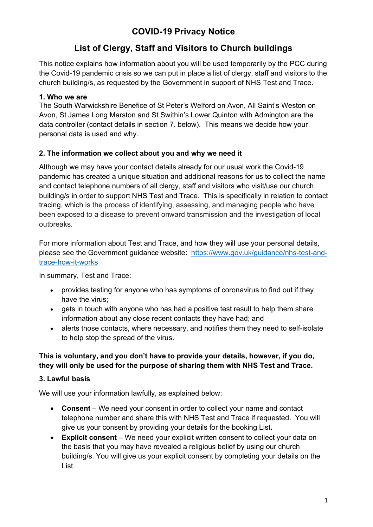## **COVID-19 Privacy Notice**

# **List of Clergy, Staff and Visitors to Church buildings**

This notice explains how information about you will be used temporarily by the PCC during the Covid-19 pandemic crisis so we can put in place a list of clergy, staff and visitors to the church building/s, as requested by the Government in support of NHS Test and Trace.

#### **1. Who we are**

The South Warwickshire Benefice of St Peter's Welford on Avon, All Saint's Weston on Avon, St James Long Marston and St Swithin's Lower Quinton with Admington are the data controller (contact details in section 7. below). This means we decide how your personal data is used and why.

#### **2. The information we collect about you and why we need it**

Although we may have your contact details already for our usual work the Covid-19 pandemic has created a unique situation and additional reasons for us to collect the name and contact telephone numbers of all clergy, staff and visitors who visit/use our church building/s in order to support NHS Test and Trace. This is specifically in relation to contact tracing, which is the process of identifying, assessing, and managing people who have been exposed to a disease to prevent onward transmission and the investigation of local outbreaks.

For more information about Test and Trace, and how they will use your personal details, please see the Government guidance website: https://www.gov.uk/guidance/nhs-test-andtrace-how-it-works

In summary, Test and Trace:

- provides testing for anyone who has symptoms of coronavirus to find out if they have the virus;
- gets in touch with anyone who has had a positive test result to help them share information about any close recent contacts they have had; and
- alerts those contacts, where necessary, and notifies them they need to self-isolate to help stop the spread of the virus.

#### **This is voluntary, and you don't have to provide your details, however, if you do, they will only be used for the purpose of sharing them with NHS Test and Trace.**

### **3. Lawful basis**

We will use your information lawfully, as explained below:

- **Consent**  We need your consent in order to collect your name and contact telephone number and share this with NHS Test and Trace if requested. You will give us your consent by providing your details for the booking List**.**
- **Explicit consent** We need your explicit written consent to collect your data on the basis that you may have revealed a religious belief by using our church building/s. You will give us your explicit consent by completing your details on the List.